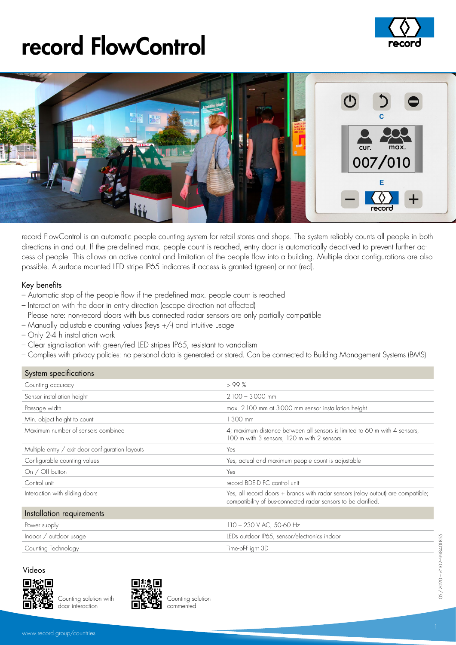## record FlowControl





record FlowControl is an automatic people counting system for retail stores and shops. The system reliably counts all people in both directions in and out. If the pre-defined max. people count is reached, entry door is automatically deactived to prevent further access of people. This allows an active control and limitation of the people flow into a building. Multiple door configurations are also possible. A surface mounted LED stripe IP65 indicates if access is granted (green) or not (red).

#### Key benefits

- Automatic stop of the people flow if the predefined max. people count is reached
- Interaction with the door in entry direction (escape direction not affected)
- Please note: non-record doors with bus connected radar sensors are only partially compatible
- Manually adjustable counting values (keys +/-) and intuitive usage
- Only 2-4 h installation work
- Clear signalisation with green/red LED stripes IP65, resistant to vandalism
- Complies with privacy policies: no personal data is generated or stored. Can be connected to Building Management Systems (BMS)

#### System specifications

| oyaloni apochicanona                             |                                                                                                                                                   |
|--------------------------------------------------|---------------------------------------------------------------------------------------------------------------------------------------------------|
| Counting accuracy                                | >99%                                                                                                                                              |
| Sensor installation height                       | $2100 - 3000$ mm                                                                                                                                  |
| Passage width                                    | max. 2 100 mm at 3 000 mm sensor installation height                                                                                              |
| Min. object height to count                      | 1 300 mm                                                                                                                                          |
| Maximum number of sensors combined               | 4; maximum distance between all sensors is limited to 60 m with 4 sensors,<br>100 m with 3 sensors, 120 m with 2 sensors                          |
| Multiple entry / exit door configuration layouts | Yes                                                                                                                                               |
| Configurable counting values                     | Yes, actual and maximum people count is adjustable                                                                                                |
| On / Off button                                  | Yes                                                                                                                                               |
| Control unit                                     | record BDE-D FC control unit                                                                                                                      |
| Interaction with sliding doors                   | Yes, all record doors + brands with radar sensors (relay output) are compatible;<br>compatibility of bus-connected radar sensors to be clarified. |
| Installation requirements                        |                                                                                                                                                   |
| Power supply                                     | $110 - 230$ V AC, 50-60 Hz                                                                                                                        |
| Indoor / outdoor usage                           | LEDs outdoor IP65, sensor/electronics indoor                                                                                                      |
| Counting Technology                              | Time-of-Flight 3D                                                                                                                                 |
|                                                  |                                                                                                                                                   |



Counting solution with door interaction



Counting solution commented

05/2020 – n°102–998401855

05/2020 - n°102-998401855